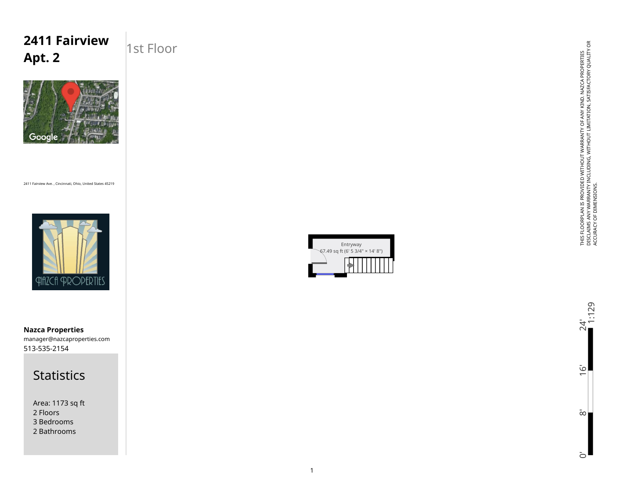## **2411 Fairview Apt. 2**

### 1st Floor



2411 Fairview Ave. , Cincinnati, Ohio, United States 45219



513-535-2154 manager@nazcaproperties.com **Nazca Properties**

#### **Statistics**

Area: 1173 sq ft 2 Floors 3 Bedrooms 2 Bathrooms



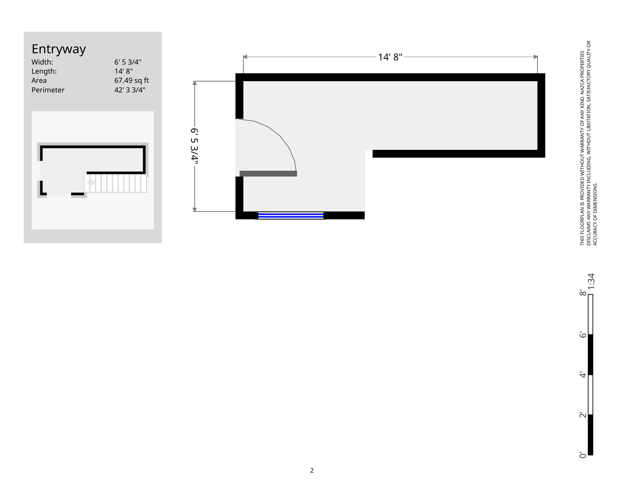



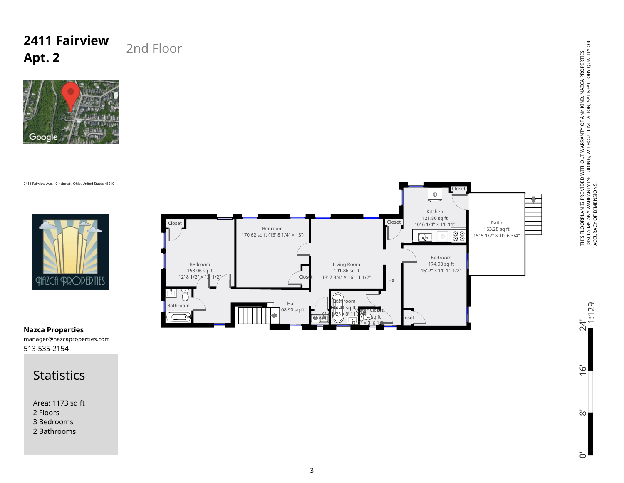#### Living Room 191.86 sq ft Clos 13' 7 3/4" × 16' 11 1/2" Hall Hall Bathroom 108.90 sq ft 44.41 sq ft r Water Closet 6' 4 1/2" × 8' 11 3/4"  $11.14$  sq ft Close  $3'$  2"  $\times$  3' 6 1/2"

# THIS FLOORPLAN IS PROVIDED WITHOUT WARRANTY OF ANY KIND. NAZCA PROPERTIES<br>DISCLAIMS ANY WARRANTY INCLUDING, WITHOUT LIMITATION, SATISFACTORY QUALITY OR<br>ACCURACY OF DIMENSIONS. DISCLAIMS ANY WARRANTY INCLUDING, WITHOUT LIMITATION, SATISFACTORY QUALITY OR THIS FLOORPLAN IS PROVIDED WITHOUT WARRANTY OF ANY KIND. NAZCA PROPERTIES ACCURACY OF DIMENSIONS.

0' 8' 16' 24'

 $\bar{\infty}$ 

 $\bar{\circ}$ 

 $\overline{6}$ 

 $24'$ <br>1:129

513-535-2154 manager@nazcaproperties.com **Nazca Properties**

#### **Statistics**

Area: 1173 sq ft 2 Floors 3 Bedrooms 2 Bathrooms



2411 Fairview Ave. , Cincinnati, Ohio, United States 45219

Google

**2411 Fairview** 



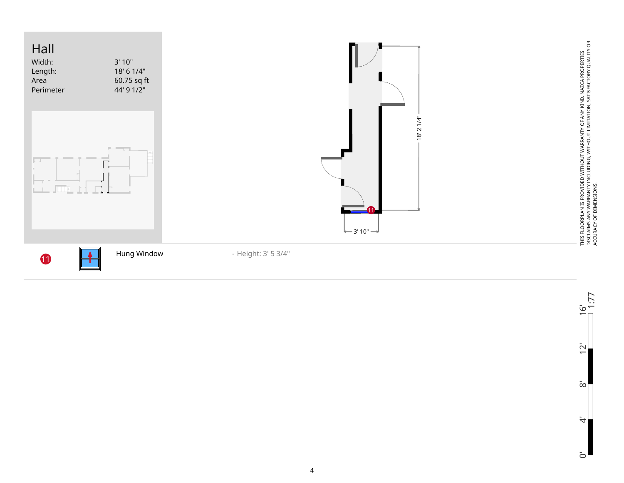

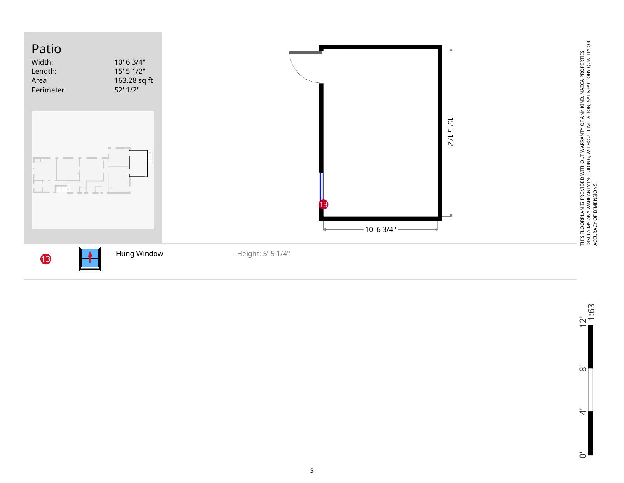

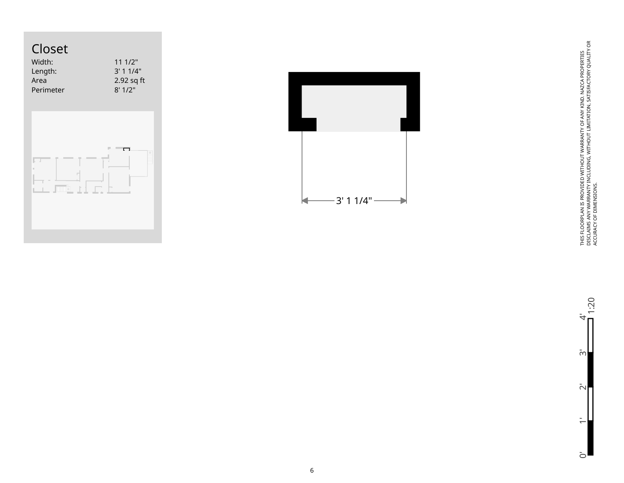



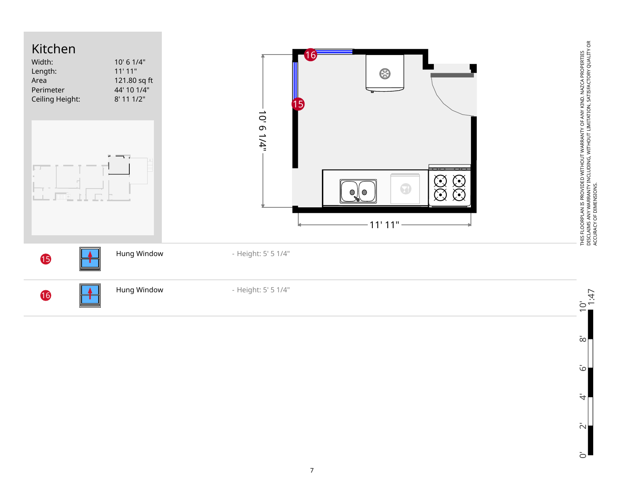

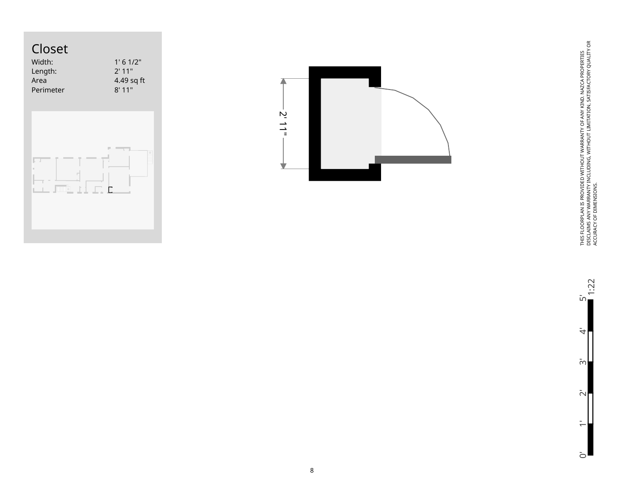



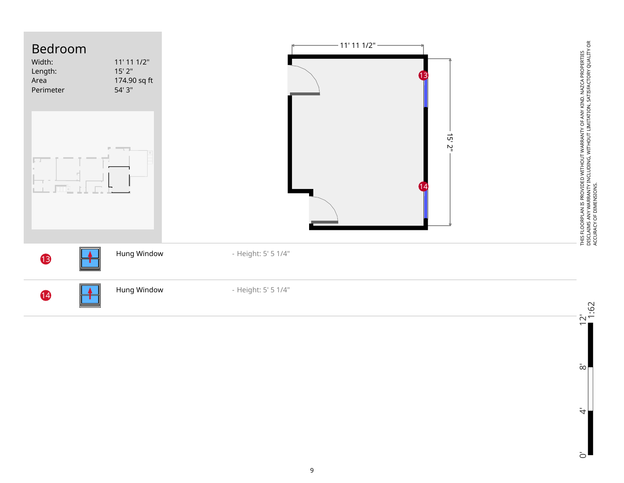



 $\ddot{\tau}$ 

 $\bar{\infty}$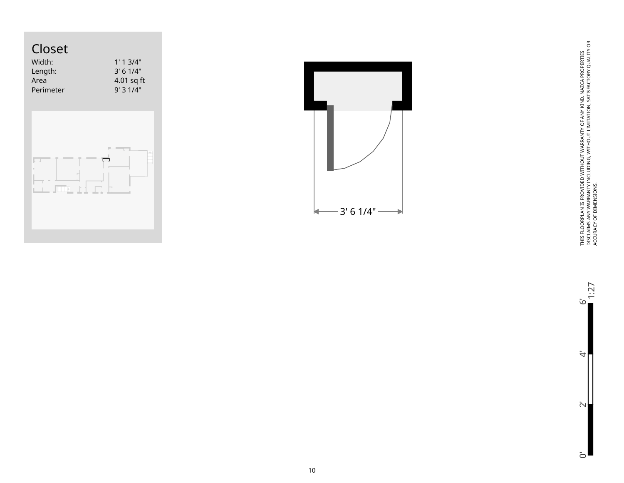

| こしつこに     |              |
|-----------|--------------|
| Width:    | 1'1.3/4"     |
| Length:   | $3'$ 6 1/4"  |
| Area      | $4.01$ sq ft |
| Perimeter | 9'31/4"      |
|           |              |





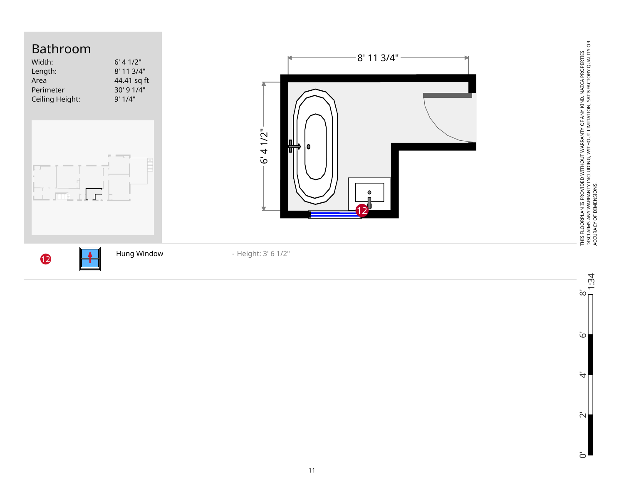



 $\overline{O}$ 

THIS FLOORPLAN IS PROVIDED WITHOUT WARRANTY OF ANY KIND. NAZCA PROPERTIES DISCLAIMS ANY WARRANTY INCLUDING, WITHOUT LIMITATION, SATISFACTORY QUALITY OR

THIS FLOORPLAN IS PROVIDED WITHOUT WARRANTY OF ANY KIND. NAZCA PROPERTIES<br>DISCLAIMS ANY WARRANTY INCLUDING, WITHOUT LIMITATION, SATISFACTORY QUALITY OR<br>ACCURACY OF DIMENSIONS.

ACCURACY OF DIMENSIONS.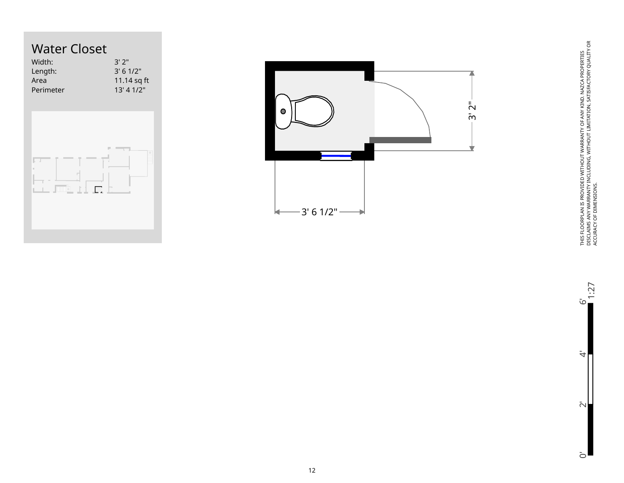# Water Closet

| Width:                           | 3'2"        |
|----------------------------------|-------------|
| Length:                          | 3' 6 1/2"   |
| Area                             | 11.14 sq ft |
| Perimeter                        | 13' 4 1/2"  |
| п<br>$\sqrt{mn}$ , $\pm$ , $\pm$ | ш           |



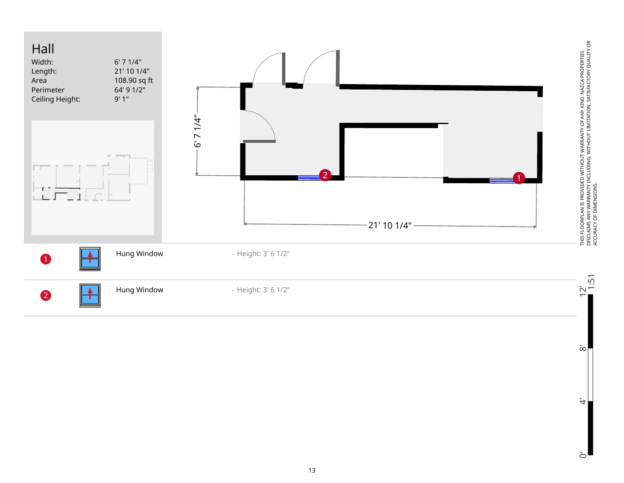

13

 $\bar{c}$ 

 $\bar{\infty}$ 

 $\ddot{\tau}$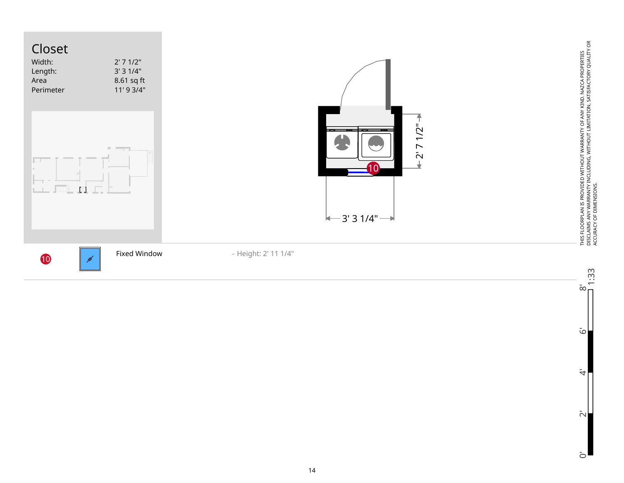

 $\tilde{\omega}$ 

 $\ddot{\tau}$ 

 $\bar{\sim}$ 

 $\overline{O}$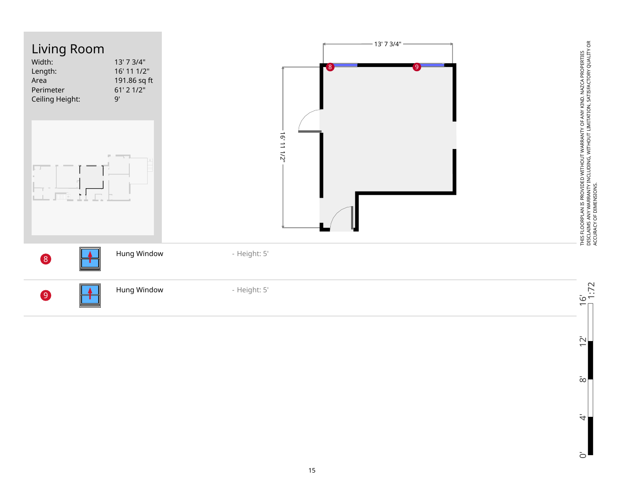

 $\overline{O}$ 

 $\bar{2}$ 

 $\rm \bar{\infty}$ 

 $\ddot{\tau}$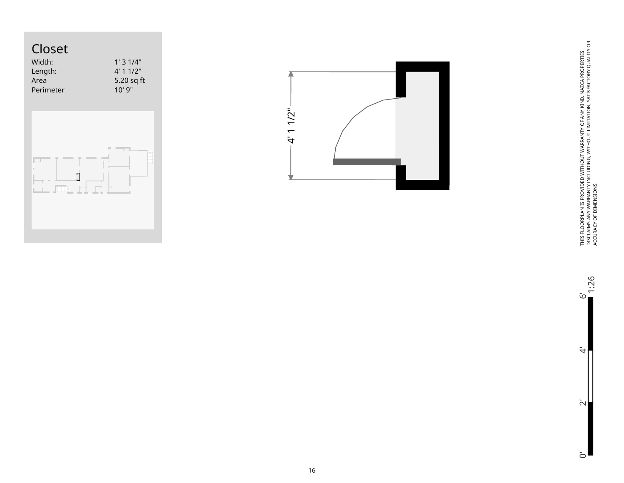# Closet

巨击

| Width:    | 1'31/4"     |
|-----------|-------------|
| Length:   | $4'$ 1 1/2" |
| Area      | 5.20 sq ft  |
| Perimeter | 10'9''      |
|           |             |

 $\mathsf{I}$ 

**TITTE**  $\mathbb{R}^2$  

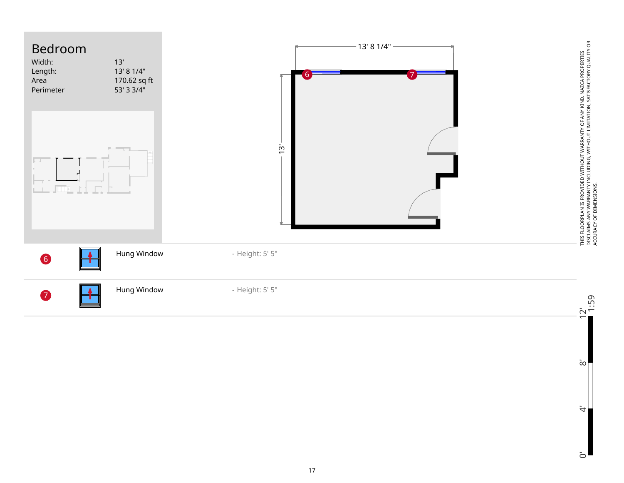



 $\rm \bar{\infty}$ 

 $\ddot{\tau}$ 

 $\overline{O}$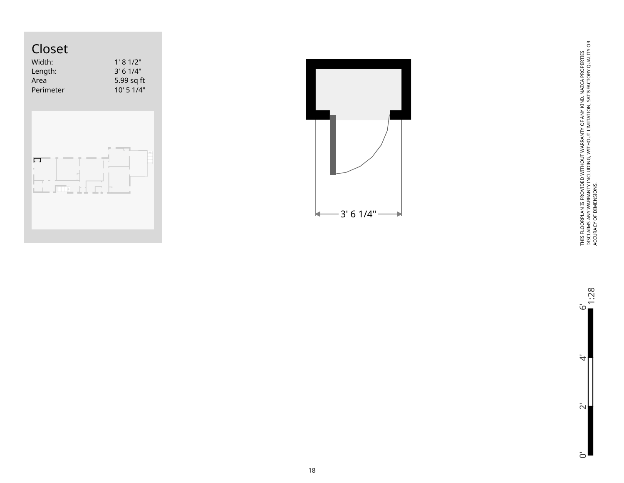## Closet

| Width:    | 1' 8' 1/2"     |
|-----------|----------------|
| Length:   | $3'$ 6 1/4"    |
| Area      | 5.99 sq ft     |
| Perimeter | $10'$ 5 $1/4"$ |
|           |                |
|           |                |





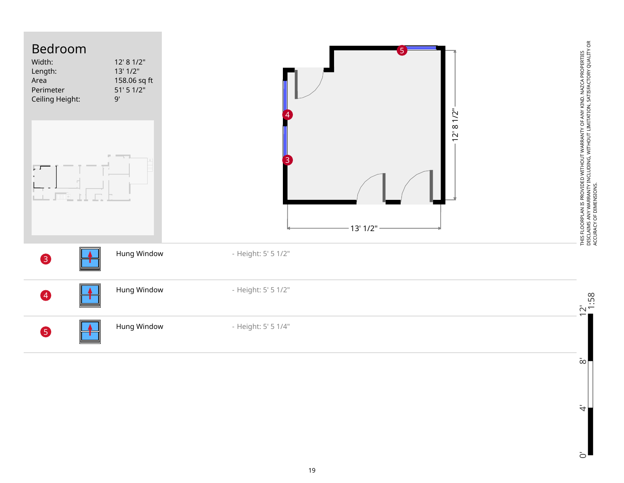

 $\dot{4}$ 

 $\bar{c}$